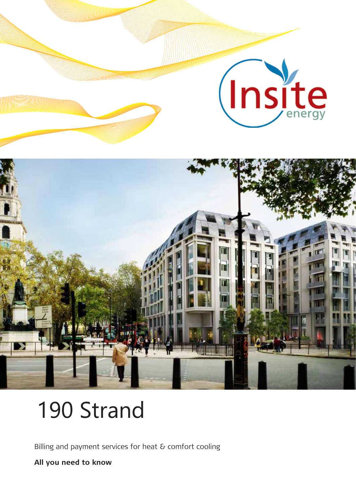

# 190 Strand

Billing and payment services for heat & comfort cooling

**All you need to know**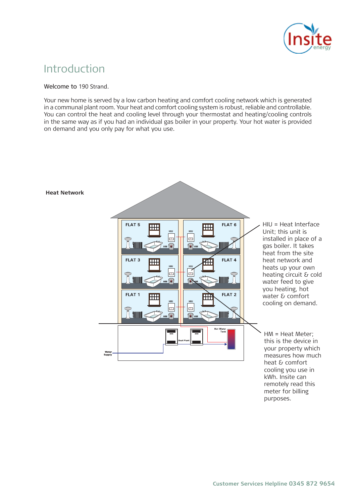

### Introduction

#### Welcome to 190 Strand.

Your new home is served by a low carbon heating and comfort cooling network which is Your new home is served by a low carbon heating and comfort cooling network which is generated in a communal plant room. Your heat and comfort cooling system is robust, reliable and controllable. You can control the heat and cooling level through your thermostat and heating/cooling controls in the same way as if you had an individual gas boiler in your property. Your hot water is provided on demand and you only pay for what you use.



purposes.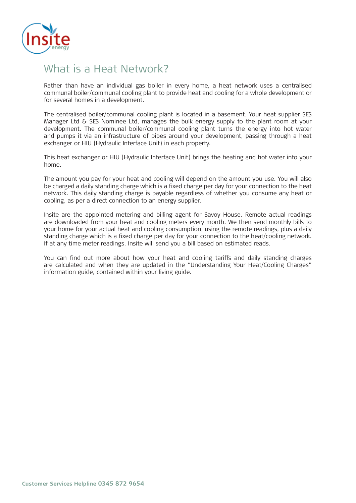

### What is a Heat Network?

Rather than have an individual gas boiler in every home, a heat network uses a centralised Rather than have an individual gas boiler in every home, a heat network uses a centralised communal boiler/communal cooling plant to provide heat and cooling for a whole development communal boiler/communal cooling plant to provide heat and cooling for a whole development or for several homes in a development.

The centralised boiler/communal cooling plant is located in a basement. Your heat supplier SES Manager Ltd & SES Nominee Ltd, manages the bulk energy supply to the plant room at your development. The communal boiler/communal cooling plant turns the energy into hot water and pumps it via an infrastructure of pipes around your development, passing through a heat and pumps it via an infrastructure of pipes around your development, passing through a heat exchanger or HIU (Hydraulic Interface Unit) in each property.

This heat exchanger or HIU (Hydraulic Interface Unit) brings the heating and hot water into your This heat exchanger or HIU (Hydraulic Interface Unit) brings the heating and hot water into your home.

The amount you pay for your heat and cooling will depend on the amount you use. You will also be charged a daily standing charge which is a fixed charge per day for your connection to the heat network. This daily standing charge is payable regardless of whether you consume any heat or cooling, as per a direct connection to an energy supplier. home.<br>The amount you pay for your heat and cooling will depend on the amount you use. You will also<br>be charged a daily standing charge which is a fixed charge per day for your connection to the heat

Insite are the appointed metering and billing agent for Savoy House. Remote actual readings are downloaded from your heat and cooling meters every month. We then send monthly bills to your home for your actual heat and cooling consumption, using the remote readings, plus a daily standing charge which is a fixed charge per day for your connection to the heat/cooling network. If at any time meter readings, Insite will send you a bill based on estimated reads.

are calculated and when they are updated in the "Understanding Your Heat/Cooling Charges" information guide, contained within your living guide. You can find out more about how your heat and cooling tariffs and daily standing charges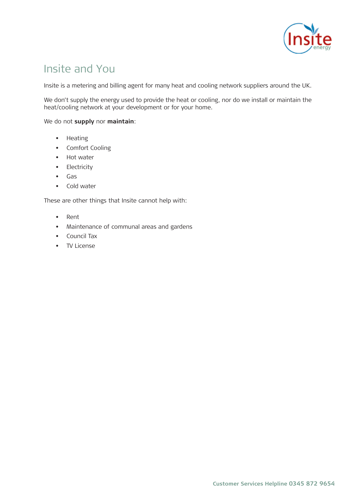

### Insite and You

Insite is a metering and billing agent for many heat and cooling network suppliers around the Insite is a metering and billing agent for many heat and cooling network suppliers around the UK.

We don't supply the energy used to provide the heat or cooling, nor do we install or maintain the heat/cooling network at your development or for your home.

We do not **supply** nor maintain:

- $\bullet$  Heating used to provide the heat or cooling, nor do we install or maintain  $\bullet$ • Heating
- the heat/cooling network at your development or for your home. • Comfort Cooling
	- Hot water
	- Electricity
	- Gas
	- Cold water

These are other things that Insite cannot help with:

- Rent
- Maintenance of communal areas and gardens
- $T_{\rm eff}$  supplies of these utilities are arranged and paid for by SES Nominee Ltd. They own and paid  $T_{\rm eff}$  own and paid for by SES Nominee Ltd. They own and paid  $T_{\rm eff}$ • Council Tax
	- TV License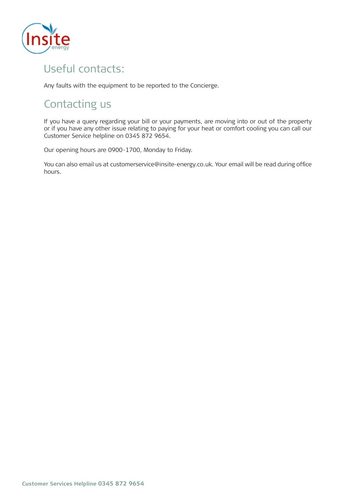

# Useful contacts:

Any faults with the equipment to be reported to the Concierge.

# Contacting us

If you have a query regarding your bill or your payments, are moving into or out of the property<br>or if you have any other issue relating to paying for your heat or comfort cooling you can call our If you have a query regarding your bill or your payments, are moving into or out of the property If you have a query regarding your bill or your payments, are moving into or out of the property Customer Service helpline on 0345 872 9654.

Our opening hours are 0900-1700, Monday to Friday. Customer Service helpline on 0345 872 9654.

 $\blacksquare$ You can also email us at customerservice@insite-energy.co.uk. Your email will be read during office hours.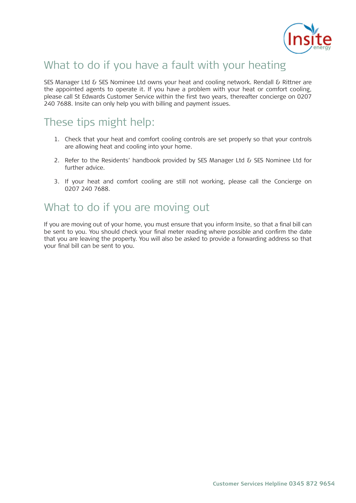

# What to do if you have a fault with your heating

SES Manager Ltd & SES Nominee Ltd owns your heat and cooling network. Rendall & Rittner are the appointed agents to operate it. If you have a problem with your heat or comfort cooling, please call St Edwards Customer Service within the first two years, thereafter concierge on 0207 240 7688. Insite can only help you with billing and payment issues.

### These tips might help:  $1.1.$  Check that you that you heat and components are set properly so that you that you that you that you that you that you that you that you that you that you that you that you that you that you that you that you that y These tips might help:

- 1. Check that your heat and comfort cooling controls are set properly so that your controls 2. Refer to the Residents' handbook provided by SES Nominee Ltd for further advice. are allowing heat and cooling into your home.
- 3. If your heat and comfort cooling are still not working, please call the Concierge . further advice. 2. Refer to the Residents' handbook provided by SES Manager Ltd & SES Nominee Ltd for
- 0207 240 7688. 3. If your heat and comfort cooling are still not working, please call the Concierge on

### What to do if you are moving out  $\sim$  You should check you. You show final meter reading where  $\sim$

If you are moving out of your home, you must ensure that you inform Insite, so that a final bill can that you are morning out of your final meter of should that you inform more, so that a miler on can<br>be sent to you. You should check your final meter reading where possible and confirm the date that you are leaving the property. You will also be asked to provide a forwarding address so that your final bill can be sent to you.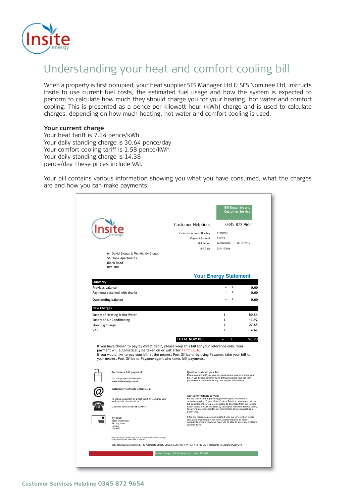

# Understanding your heat and comfort cooling bill

When a property is first occupied, your heat supplier SES Manager Ltd & SES Nominee Ltd, instructs Insite to use current fuel costs, the estimated fuel usage and how the system is expected to perform to calculate how much they should charge you for your heating, hot water and comfort cooling. This is presented as a pence per kilowatt hour (kWh) charge and is used to calculate charges, depending on how much heating, hot water and comfort cooling is used.

### **Pour current charge EXEC and components. The and components of the and components. The and components of the and components of the and components. The and components of the and components of the and components of the an**

Your daily standing charge is 30.64 pence/day Your comfort cooling tariff is 1.58 pence/KWh Your daily standing charge is 14.38 pence/day These prices include VAT. Your heat tariff is 7.14 pence/kWh

bill contains various information showing you what you have consumed, what the ch Your bill contains various information showing you what you have consumed, what the charges are and how you can make payments.

|                                                                                                                                                                                                                                                                                                                                                                                                                                              | <b>Customer Helpline:</b>                                                            | 0345 872 9654                                                                                                                                                                                                                                                                                                                                        |              |  |  |  |
|----------------------------------------------------------------------------------------------------------------------------------------------------------------------------------------------------------------------------------------------------------------------------------------------------------------------------------------------------------------------------------------------------------------------------------------------|--------------------------------------------------------------------------------------|------------------------------------------------------------------------------------------------------------------------------------------------------------------------------------------------------------------------------------------------------------------------------------------------------------------------------------------------------|--------------|--|--|--|
|                                                                                                                                                                                                                                                                                                                                                                                                                                              | Customer Account Number<br>Payment Request<br><b>Bill Period</b><br><b>Bill Date</b> | 11110001<br>135521<br>26/08/2016 - 31/10/2016<br>03/11/2016                                                                                                                                                                                                                                                                                          |              |  |  |  |
| Mr David Bloggs & Mrs Mandy Bloggs<br>56 Blank Apartments<br><b>Blank Road</b><br><b>BR1 1BR</b>                                                                                                                                                                                                                                                                                                                                             |                                                                                      |                                                                                                                                                                                                                                                                                                                                                      |              |  |  |  |
|                                                                                                                                                                                                                                                                                                                                                                                                                                              |                                                                                      | <b>Your Energy Statement</b>                                                                                                                                                                                                                                                                                                                         |              |  |  |  |
| Summary                                                                                                                                                                                                                                                                                                                                                                                                                                      |                                                                                      | £<br>$=$                                                                                                                                                                                                                                                                                                                                             |              |  |  |  |
| Previous balance<br>Payments received with thanks                                                                                                                                                                                                                                                                                                                                                                                            |                                                                                      | £                                                                                                                                                                                                                                                                                                                                                    | 0.00<br>0.00 |  |  |  |
| <b>Outstanding balance</b>                                                                                                                                                                                                                                                                                                                                                                                                                   |                                                                                      | £                                                                                                                                                                                                                                                                                                                                                    | 0.00         |  |  |  |
| <b>New Charges</b>                                                                                                                                                                                                                                                                                                                                                                                                                           |                                                                                      |                                                                                                                                                                                                                                                                                                                                                      |              |  |  |  |
| Supply of Heating & Hot Water                                                                                                                                                                                                                                                                                                                                                                                                                |                                                                                      | £                                                                                                                                                                                                                                                                                                                                                    | 50.54        |  |  |  |
| Supply of Air Conditioning                                                                                                                                                                                                                                                                                                                                                                                                                   |                                                                                      | £                                                                                                                                                                                                                                                                                                                                                    | 13.92        |  |  |  |
| <b>Standing Charge</b>                                                                                                                                                                                                                                                                                                                                                                                                                       |                                                                                      | £                                                                                                                                                                                                                                                                                                                                                    | 27.85        |  |  |  |
| VAT                                                                                                                                                                                                                                                                                                                                                                                                                                          |                                                                                      | £                                                                                                                                                                                                                                                                                                                                                    | 4.62         |  |  |  |
|                                                                                                                                                                                                                                                                                                                                                                                                                                              | TOTAL NOW DUE                                                                        | £<br>ш                                                                                                                                                                                                                                                                                                                                               | 96,93        |  |  |  |
| If you have chosen to pay by direct debit, please keep this bill for your reference only. Your<br>payment will automatically be taken on or just after 17/11/2016.<br>If you would like to pay your bill at the nearest Post Office or by using Payzone, take your bill to<br>your nearest Post Office or Payzone agent who takes 'bill payments'.<br>To make a bill payment:<br>You can pay your bill online at:<br>www.insite-energy.co.uk | Questions about your bill:                                                           | Please contact us if you have any questions or concerns about your<br>bill. If you believe you may have difficulty paying your bill then<br>please contact us immediately - we may be able to help.                                                                                                                                                  |              |  |  |  |
| customerservice@insite-energy.co.uk                                                                                                                                                                                                                                                                                                                                                                                                          |                                                                                      |                                                                                                                                                                                                                                                                                                                                                      |              |  |  |  |
| To set up a payment by Direct Debit or to change your<br>bank details, simply call us.<br>Customer Service: 03458 729645                                                                                                                                                                                                                                                                                                                     | Our commitment to you:                                                               | We are committed to providing you the highest standards of<br>customer service. Copies of our Code of Practice, which sets out our<br>full commitment to you, are available to download from our website.<br>Paper copies are also available by calling our customer service team,<br>however please do consider our environment before requesting a |              |  |  |  |
| By post:<br>Insite Energy Ltd<br>84 Long Lane<br>London<br>SE1 4AU                                                                                                                                                                                                                                                                                                                                                                           | paper copy.<br>you may have.                                                         | If for any reason you are not satisfied with our service then please<br>contact us immediately. We have a comprehensive in-house<br>complaints process which we hope will be able to solve any problems                                                                                                                                              |              |  |  |  |
| Please include your Insite Energy account numbi<br>shown in the top right hand corner of your bill.)<br>mber on all correspondence (as                                                                                                                                                                                                                                                                                                       |                                                                                      |                                                                                                                                                                                                                                                                                                                                                      |              |  |  |  |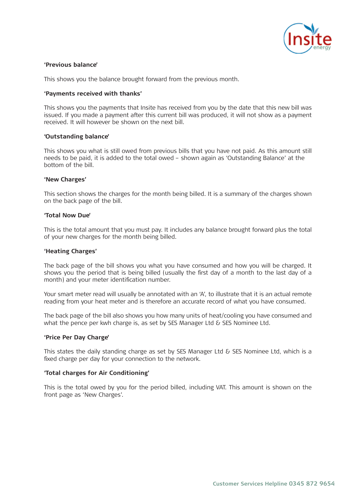

#### **'Previous balance' 'Previous balance'**

This shows you the balance brought forward from the previous month. This shows you the balance brought forward from the previous month.

#### **'Payments received with thanks' 'Payments thanks'**

This shows you the payments that Insite has received from you by the date that this new bill This shows you the payments that Insite has received from you by the date that this new bill was issued. If you made a payment after this current bill was produced, it will not show as a payment received. It will however be shown on the next bill.

#### **'Outstanding balance' 'Outstanding balance'**

This shows you what is still owed from previous bills that you have not paid. As this amount still This shows you what is still owed from previous bills that you have not paid. As this amount still needs to be paid, it is added to the total owed – shown again as 'Outstanding Balance' at the needs to be paid, it is added to the total owed – shown again as 'Outstanding Balance' at the bottom of the bill. bottom of the bill.

#### **'New Charges' 'New Charges'**

This section shows the charges for the month being billed. It is a summary of the charges shown This section shows the charges for the month being billed. It is a summary of the charges shown on the back page of the bill. on the back page of the bill.

#### **'Total Now Due' 'Total Now Due'**

This is the total amount that you must pay. It includes any balance brought forward plus the This is the total amount that you must pay. It includes any balance brought forward plus the total of your new charges for the month being billed.

#### **'Heating Charges' 'Heating Charges'**

The back page of the bill shows you what you have consumed and how you will be charged. It The back page of the bill shows you what you have consumed and how you will be charged. It shows you the period that is being billed (usually the first day of a month to the last day of a shows you the period that is being billed (usually the first day of a month to the last day of a month) and your meter identification number. month) and your meter identification number.

Your smart meter read will usually be annotated with an 'A', to illustrate that it is an actual Your smart meter read will usually be annotated with an 'A', to illustrate that it is an actual remote reading from your heat meter and is therefore an accurate record of what you have consumed.

what the pence per kwh charge is, as set by SES Manager Ltd & SES Nominee Ltd. The back page of the bill also shows you how many units of heat/cooling you have consumed and

#### **'Price Per Day Charge'**

**'Price Per Day Charge'**  This states the daily standing charge as set by SES Manager Ltd & SES Nominee Ltd, which is a fixed charge per day for your connection to the network.

### for your connection to the network. **'Total charges for Air Conditioning'**

This is the total owed by you for the period billed, including VAT. This amount is shown on the front page as 'New Charges'.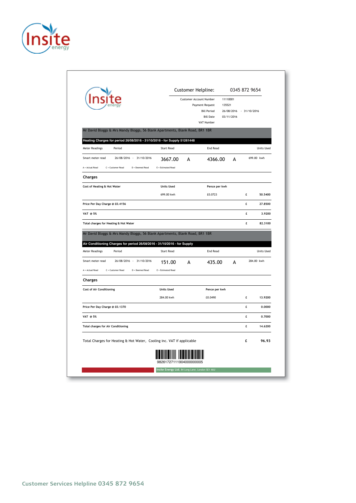

|                                                                                                                                                                                             |                      | Customer Helpline: | <b>Customer Account Number</b><br>Payment Request<br><b>Bill Period</b><br><b>Bill Date</b><br>VAT Number | 11110001<br>135521<br>03/11/2016 | 0345 872 9654<br>26/08/2016 - 31/10/2016 |                   |
|---------------------------------------------------------------------------------------------------------------------------------------------------------------------------------------------|----------------------|--------------------|-----------------------------------------------------------------------------------------------------------|----------------------------------|------------------------------------------|-------------------|
| Mr David Bloggs & Mrs Mandy Bloggs, 56 Blank Apartments, Blank Road, BR1 1BR                                                                                                                |                      |                    |                                                                                                           |                                  |                                          |                   |
| Heating Charges for period 26/08/2016 - 31/10/2016 - for Supply 51261448                                                                                                                    |                      |                    |                                                                                                           |                                  |                                          |                   |
| Period<br><b>Meter Readings</b>                                                                                                                                                             | <b>Start Read</b>    |                    |                                                                                                           | <b>End Read</b>                  |                                          | <b>Units Used</b> |
| Smart meter read<br>26/08/2016 - 31/10/2016                                                                                                                                                 | 3667.00              | A                  | 4366.00                                                                                                   | A                                |                                          | 699.00 kwh        |
| A = Actual Read<br>C = Customer Read<br>D = Deemed Read                                                                                                                                     | E = Estimated Read   |                    |                                                                                                           |                                  |                                          |                   |
| Charges                                                                                                                                                                                     |                      |                    |                                                                                                           |                                  |                                          |                   |
| Cost of Heating & Hot Water                                                                                                                                                                 | <b>Units Used</b>    |                    | Pence per kwh                                                                                             |                                  |                                          |                   |
|                                                                                                                                                                                             | 699.00 kwh           |                    | £0.0723                                                                                                   |                                  | £                                        | 50.5400           |
| Price Per Day Charge @ £0.4156                                                                                                                                                              |                      |                    |                                                                                                           |                                  | £                                        | 27.8500           |
| VAT @ 5%                                                                                                                                                                                    |                      |                    |                                                                                                           |                                  | £                                        | 3.9200            |
|                                                                                                                                                                                             |                      |                    |                                                                                                           |                                  |                                          |                   |
| Total charges for Heating & Hot Water                                                                                                                                                       |                      |                    |                                                                                                           |                                  | £                                        | 82.3100           |
| Mr David Bloggs & Mrs Mandy Bloggs, 56 Blank Apartments, Blank Road, BR1 1BR<br>Air Conditioning Charges for period 26/08/2016 - 31/10/2016 - for Supply<br><b>Meter Readings</b><br>Period | <b>Start Read</b>    |                    | <b>End Read</b>                                                                                           |                                  |                                          |                   |
| Smart meter read<br>26/08/2016 - 31/10/2016                                                                                                                                                 | 151.00               | A                  | 435.00                                                                                                    | A                                |                                          | 284.00 kwh        |
| A = Actual Read<br>C = Customer Read<br>D = Deemed Read                                                                                                                                     | $E$ = Estimated Read |                    |                                                                                                           |                                  |                                          |                   |
| Charges                                                                                                                                                                                     |                      |                    |                                                                                                           |                                  |                                          | <b>Units Used</b> |
| <b>Cost of Air Conditioning</b>                                                                                                                                                             | <b>Units Used</b>    |                    | Pence per kwh                                                                                             |                                  |                                          |                   |
|                                                                                                                                                                                             | 284.00 kwh           |                    | £0.0490                                                                                                   |                                  | £                                        | 13.9200           |
| Price Per Day Charge @ £0.1370                                                                                                                                                              |                      |                    |                                                                                                           |                                  | £                                        | 0.0000            |
| VAT @ 5%                                                                                                                                                                                    |                      |                    |                                                                                                           |                                  | £                                        | 0.7000            |
| <b>Total charges for Air Conditioning</b>                                                                                                                                                   |                      |                    |                                                                                                           |                                  | £                                        | 14.6200           |
| Total Charges for Heating & Hot Water, Cooling inc. VAT if applicable                                                                                                                       |                      |                    |                                                                                                           |                                  | £                                        | 96.93             |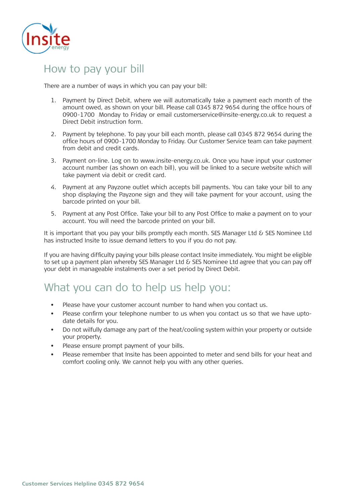

# How to pay your bill

There are a number of ways in which you can pay your bill: There are a number of ways in which you can pay your bill:

- 1. Payment by Direct Debit, where we will automatically take a payment each month of the 1. Payment by Direct Debit, where we will automatically take a payment each month of the amount owed, as shown on your bill. Please call 0345 872 9654 during the office hours amount owed, as shown on your bill. Please call 0345 872 9654 during the office hours of of 0900-1700 Monday to Friday or email customerservice@insite-energy.co.uk to request 0900-1700 Monday to Friday or email customerservice@insite-energy.co.uk to request a a Direct Debit instruction form. Direct Debit instruction form.
- 2. Payment by telephone. To pay your bill each month, please call 0345 872 9654 during 2. Payment by telephone. To pay your bill each month, please call 0345 872 9654 during the office hours of 0900-1700 Monday to Friday. Our Customer Service team can take payment from debit and credit cards.
- 3. Payment on-line. Log on to www.insite-energy.co.uk. Once you have input your customer account number (as shown on each bill), you will be linked to a secure website which will account number (as shown on each bin<sub>l</sub>), you will be linked to a secure website willen will<br>have a sument was debit or credit card take payment via debit or credit card. take payment via debit or credit card. 3. Payment on-line. Log on to www.insite-energy.co.uk. Once you have input your customer
- shop displaying the Payzone sign and they will take payment for your account, using the barcode printed on your bill. They will take payment for your account, using the payment of your account, using the payment of your account, using the payment of your account, using the payment of your account, using the p 4. Payment at any Payzone outlet which accepts bill payments. You can take your bill to any
- barcode printed on your bill. account. You will need the barcode printed on your bill. 5. Payment at any Post Office. Take your bill to any Post Office to make a payment on to your

It is important that you pay your bills promptly each month. SES Manager Ltd & SES Nominee Ltd has instructed Insite to issue demand letters to you if you do not pay.

If you are having difficulty paying your bills please contact Insite immediately. You might be eligible to set up a payment plan whereby SES Manager Ltd & SES Nominee Ltd agree that you can pay off your debt in manageable instalments over a set period by Direct Debit.

### What you can do to help us help you:

- Please have your customer account number to hand when you contact us.
	- date details for you. The same you contact use of the same you contact use of the same you contact use of the s • Please confirm your telephone number to us when you contact us so that we have upto-
	- Do not wilfully damage any part of the heat/cooling system within your property or outside your property.
	- Please ensure prompt payment of your bills.
	- Please remember that Insite has been appointed to meter and send bills for your heat and comfort cooling only. We cannot help you with any other queries.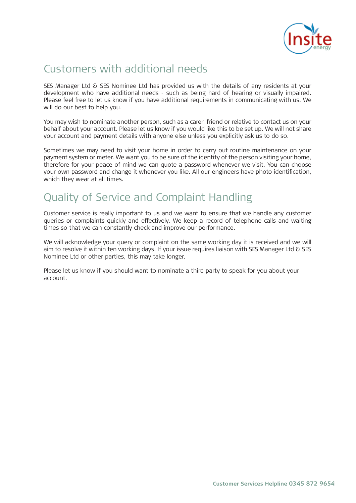

# Customers with additional needs

SES Manager Ltd & SES Nominee Ltd has provided us with the details of any residents at your development who have additional needs - such as being hard of hearing or visually impaired. Please feel free to let us know if you have additional requirements in communicating with us. We will do our best to help you.

You may wish to nominate another person, such as a carer, friend or relative to contact us on You may wish to nominate another person, such as a carer, friend or relative to contact us on your behalf about your account. Please let us know if you would like this to be set up. We will not share your account and payment details with anyone else unless you explicitly ask us to do so.

payment system or meter. We want you to be sure of the identity of the person visiting your home, therefore for your peace of mind we can quote a password whenever we visit. You can choose your own password and change it whenever you like. All our engineers have photo identification, which they wear at all times. All our engineers have photographs of the photographs of the photographs of the p Sometimes we may need to visit your home in order to carry out routine maintenance on your

# Quality of Service and Complaint Handling

Customer service is really important to us and we want to ensure that we handle any customer times so that we can constantly check and improve our performance. queries or complaints quickly and effectively. We keep a record of telephone calls and waiting

We will acknowledge your query or complaint on the same working day it is received and we will Nominee Ltd or other parties, this may take longer. aim to resolve it within ten working days. If your issue requires liaison with SES Manager Ltd & SES

Please let us know if you should want to nominate a third party to speak for you about your account.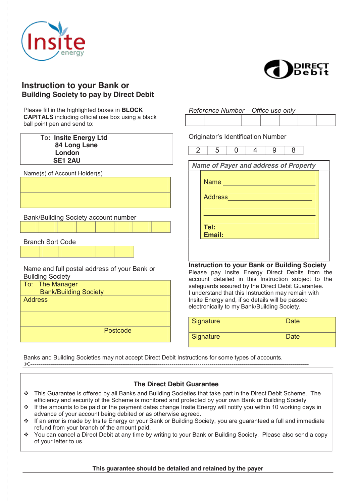



*Reference Number – Office use only* 

### **Instruction to your Bank or Building Society to pay by Direct Debit**

Please fill in the highlighted boxes in **BLOCK CAPITALS** including official use box using a black ball point pen and send to:

| Dall politic peri and serio to.                                                            |                                                                                                                                                                                                                    |
|--------------------------------------------------------------------------------------------|--------------------------------------------------------------------------------------------------------------------------------------------------------------------------------------------------------------------|
| To: Insite Energy Ltd<br>84 Long Lane<br>London                                            | <b>Originator's Identification Number</b><br>$\overline{2}$<br>5<br>8<br>9<br>$\Omega$<br>4                                                                                                                        |
| <b>SE1 2AU</b>                                                                             |                                                                                                                                                                                                                    |
|                                                                                            | <b>Name of Payer and address of Property</b>                                                                                                                                                                       |
| Name(s) of Account Holder(s)                                                               |                                                                                                                                                                                                                    |
|                                                                                            | <b>Name Name <i>Name Name</i></b>                                                                                                                                                                                  |
|                                                                                            | Address                                                                                                                                                                                                            |
| Bank/Building Society account number                                                       |                                                                                                                                                                                                                    |
|                                                                                            | Tel:                                                                                                                                                                                                               |
| <b>Branch Sort Code</b>                                                                    | Email:                                                                                                                                                                                                             |
|                                                                                            |                                                                                                                                                                                                                    |
| Name and full postal address of your Bank or<br><b>Building Society</b><br>To: The Manager | <b>Instruction to your Bank or Building Society</b><br>Please pay Insite Energy Direct Debits from the<br>account detailed in this Instruction subject to the<br>safeguards assured by the Direct Debit Guarantee. |
| <b>Bank/Building Society</b>                                                               | I understand that this Instruction may remain with                                                                                                                                                                 |
| <b>Address</b>                                                                             | Insite Energy and, if so details will be passed<br>electronically to my Bank/Building Society.                                                                                                                     |
|                                                                                            | Signature<br><b>Date</b>                                                                                                                                                                                           |
| Postcode                                                                                   | Signature<br><b>Date</b>                                                                                                                                                                                           |
|                                                                                            |                                                                                                                                                                                                                    |

Banks and Building Societies may not accept Direct Debit Instructions for some types of accounts. --------------------------------------------------------------------------------------------------------------------------------------------

### **The Direct Debit Guarantee**

- \* This Guarantee is offered by all Banks and Building Societies that take part in the Direct Debit Scheme. The efficiency and security of the Scheme is monitored and protected by your own Bank or Building Society.
- $\cdot \cdot$  If the amounts to be paid or the payment dates change Insite Energy will notify you within 10 working days in advance of your account being debited or as otherwise agreed.
- If an error is made by Insite Energy or your Bank or Building Society, you are guaranteed a full and immediate refund from your branch of the amount paid.
- You can cancel a Direct Debit at any time by writing to your Bank or Building Society. Please also send a copy of your letter to us.

### **This guarantee should be detailed and retained by the payer**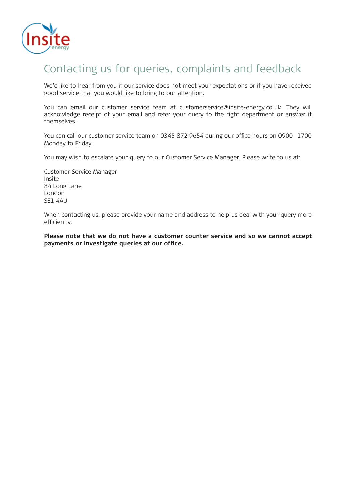

# Contacting us for queries, complaints and feedback

We'd like to hear from you if our service does not meet your expectations or if you have received We'd like to hear from you if our service does not meet your expectations or if you have received good service that you would like to bring to our attention. good service that you would like to bring to our attention.

You can email our customer service team at customerservice@insite-energy.co.uk. They will You can email our customer service team at customerservice@insite-energy.co.uk. They will acknowledge receipt of your email and refer your query to the right department or answer it acknowledge receipt of your email and refer your query to the right department or answer it themselves. themselves.

You can call our customer service team on 0345 872 9654 during our office hours on 0900- You can call our customer service team on 0345 872 9654 during our office hours on 0900- 1700 Monday to Friday.

You may wish to escalate your query to our Customer Service Manager. Please write to us at: You may wish to escalate your query to our Customer Service Manager. Please write to us at:

Customer Service Manager Customer Service Manager Insite Insite 84 Long Lane 84 Long Lane London London SE1 4AU SE1 4AU

When contacting us, please provide your name and address to help us deal with your query more When contacting us, please provide your name and address to help us deal with your query more efficiently. efficiently.

**Please note that we do not have a customer counter service and so we cannot accept Please note that we do not have a customer counter service and so we cannot accept payments or investigate queries at our office. payments or investigate queries at our office.**